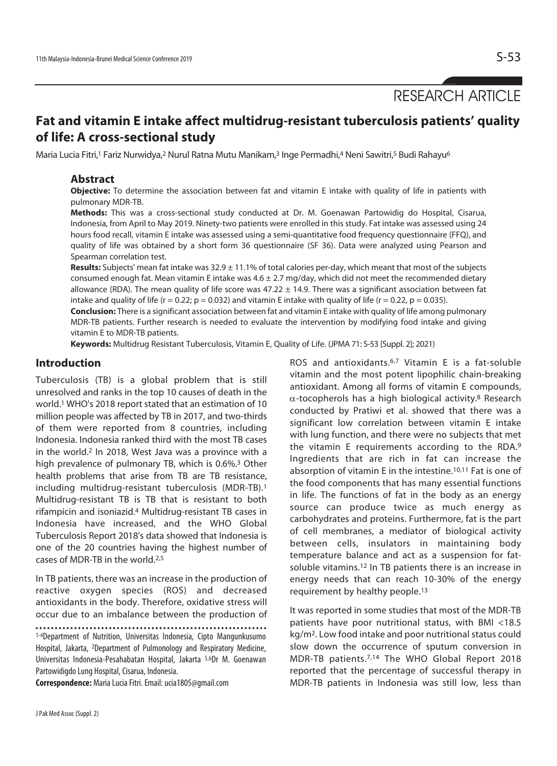# RESEARCH ARTICLE

# **Fat and vitamin E intake affect multidrug-resistant tuberculosis patients' quality of life: A cross-sectional study**

Maria Lucia Fitri,<sup>1</sup> Fariz Nurwidya,<sup>2</sup> Nurul Ratna Mutu Manikam,<sup>3</sup> Inge Permadhi,4 Neni Sawitri,<sup>5</sup> Budi Rahayu<sup>6</sup>

#### **Abstract**

**Objective:** To determine the association between fat and vitamin E intake with quality of life in patients with pulmonary MDR-TB.

**Methods:** This was a cross-sectional study conducted at Dr. M. Goenawan Partowidig do Hospital, Cisarua, Indonesia, from April to May 2019. Ninety-two patients were enrolled in this study. Fat intake was assessed using 24 hours food recall, vitamin E intake was assessed using a semi-quantitative food frequency questionnaire (FFQ), and quality of life was obtained by a short form 36 questionnaire (SF 36). Data were analyzed using Pearson and Spearman correlation test.

**Results:** Subjects' mean fat intake was 32.9 ± 11.1% of total calories per-day, which meant that most of the subjects consumed enough fat. Mean vitamin E intake was  $4.6 \pm 2.7$  mg/day, which did not meet the recommended dietary allowance (RDA). The mean quality of life score was  $47.22 \pm 14.9$ . There was a significant association between fat intake and quality of life ( $r = 0.22$ ;  $p = 0.032$ ) and vitamin E intake with quality of life ( $r = 0.22$ ,  $p = 0.035$ ).

**Conclusion:** There is a significant association between fat and vitamin E intake with quality of life among pulmonary MDR-TB patients. Further research is needed to evaluate the intervention by modifying food intake and giving vitamin E to MDR-TB patients.

**Keywords:** Multidrug Resistant Tuberculosis, Vitamin E, Quality of Life. (JPMA 71: S-53 [Suppl. 2]; 2021)

#### **Introduction**

Tuberculosis (TB) is a global problem that is still unresolved and ranks in the top 10 causes of death in the world.1 WHO's 2018 report stated that an estimation of 10 million people was affected by TB in 2017, and two-thirds of them were reported from 8 countries, including Indonesia. Indonesia ranked third with the most TB cases in the world.2 In 2018, West Java was a province with a high prevalence of pulmonary TB, which is 0.6%.3 Other health problems that arise from TB are TB resistance, including multidrug-resistant tuberculosis (MDR-TB).1 Multidrug-resistant TB is TB that is resistant to both rifampicin and isoniazid.4 Multidrug-resistant TB cases in Indonesia have increased, and the WHO Global Tuberculosis Report 2018's data showed that Indonesia is one of the 20 countries having the highest number of cases of MDR-TB in the world.2,5

In TB patients, there was an increase in the production of reactive oxygen species (ROS) and decreased antioxidants in the body. Therefore, oxidative stress will occur due to an imbalance between the production of

1-4Department of Nutrition, Universitas Indonesia, Cipto Mangunkusumo Hospital, Jakarta, 2Department of Pulmonology and Respiratory Medicine, Universitas Indonesia-Pesahabatan Hospital, Jakarta 5,6Dr M. Goenawan Partowidigdo Lung Hospital, Cisarua, Indonesia.

**Correspondence:** Maria Lucia Fitri. Email: ucia1805@gmail.com

ROS and antioxidants.6,7 Vitamin E is a fat-soluble vitamin and the most potent lipophilic chain-breaking antioxidant. Among all forms of vitamin E compounds,  $\alpha$ -tocopherols has a high biological activity.<sup>8</sup> Research conducted by Pratiwi et al. showed that there was a significant low correlation between vitamin E intake with lung function, and there were no subjects that met the vitamin E requirements according to the RDA.9 Ingredients that are rich in fat can increase the absorption of vitamin E in the intestine.10,11 Fat is one of the food components that has many essential functions in life. The functions of fat in the body as an energy source can produce twice as much energy as carbohydrates and proteins. Furthermore, fat is the part of cell membranes, a mediator of biological activity between cells, insulators in maintaining body temperature balance and act as a suspension for fatsoluble vitamins.12 In TB patients there is an increase in energy needs that can reach 10-30% of the energy requirement by healthy people.13

It was reported in some studies that most of the MDR-TB patients have poor nutritional status, with BMI <18.5 kg/m2. Low food intake and poor nutritional status could slow down the occurrence of sputum conversion in MDR-TB patients.7,14 The WHO Global Report 2018 reported that the percentage of successful therapy in MDR-TB patients in Indonesia was still low, less than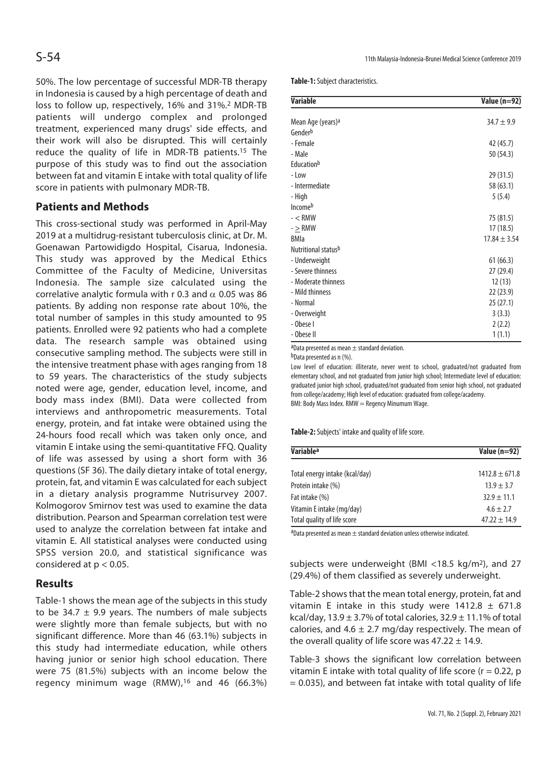50%. The low percentage of successful MDR-TB therapy in Indonesia is caused by a high percentage of death and loss to follow up, respectively, 16% and 31%.<sup>2</sup> MDR-TB patients will undergo complex and prolonged treatment, experienced many drugs' side effects, and their work will also be disrupted. This will certainly reduce the quality of life in MDR-TB patients.15 The purpose of this study was to find out the association between fat and vitamin E intake with total quality of life score in patients with pulmonary MDR-TB.

# **Patients and Methods**

This cross-sectional study was performed in April-May 2019 at a multidrug-resistant tuberculosis clinic, at Dr. M. Goenawan Partowidigdo Hospital, Cisarua, Indonesia. This study was approved by the Medical Ethics Committee of the Faculty of Medicine, Universitas Indonesia. The sample size calculated using the correlative analytic formula with r 0.3 and  $\alpha$  0.05 was 86 patients. By adding non response rate about 10%, the total number of samples in this study amounted to 95 patients. Enrolled were 92 patients who had a complete data. The research sample was obtained using consecutive sampling method. The subjects were still in the intensive treatment phase with ages ranging from 18 to 59 years. The characteristics of the study subjects noted were age, gender, education level, income, and body mass index (BMI). Data were collected from interviews and anthropometric measurements. Total energy, protein, and fat intake were obtained using the 24-hours food recall which was taken only once, and vitamin E intake using the semi-quantitative FFQ. Quality of life was assessed by using a short form with 36 questions (SF 36). The daily dietary intake of total energy, protein, fat, and vitamin E was calculated for each subject in a dietary analysis programme Nutrisurvey 2007. Kolmogorov Smirnov test was used to examine the data distribution. Pearson and Spearman correlation test were used to analyze the correlation between fat intake and vitamin E. All statistical analyses were conducted using SPSS version 20.0, and statistical significance was considered at  $p < 0.05$ .

# **Results**

Table-1 shows the mean age of the subjects in this study to be 34.7  $\pm$  9.9 years. The numbers of male subjects were slightly more than female subjects, but with no significant difference. More than 46 (63.1%) subjects in this study had intermediate education, while others having junior or senior high school education. There were 75 (81.5%) subjects with an income below the regency minimum wage (RMW),16 and 46 (66.3%) **Table-1:** Subject characteristics.

| <b>Variable</b>               | <b>Value (n=92)</b> |
|-------------------------------|---------------------|
| Mean Age (years) <sup>a</sup> | $34.7 \pm 9.9$      |
| Gender <sup>b</sup>           |                     |
| - Female                      | 42 (45.7)           |
| - Male                        | 50 (54.3)           |
| <b>Education</b> <sup>b</sup> |                     |
| $-Low$                        | 29 (31.5)           |
| - Intermediate                | 58 (63.1)           |
| - High                        | 5(5.4)              |
| <b>Income</b> <sup>b</sup>    |                     |
| $- <$ RMW                     | 75 (81.5)           |
| $ >$ RMW                      | 17(18.5)            |
| <b>BMIa</b>                   | $17.84 \pm 3.54$    |
| Nutritional statusb           |                     |
| - Underweight                 | 61(66.3)            |
| - Severe thinness             | 27(29.4)            |
| - Moderate thinness           | 12(13)              |
| - Mild thinness               | 22(23.9)            |
| - Normal                      | 25(27.1)            |
| - Overweight                  | 3(3.3)              |
| - Obese I                     | 2(2.2)              |
| - Obese II                    | 1(1.1)              |

 $a$ Data presented as mean  $\pm$  standard deviation.

b<sub>Data presented as n</sub> (%).

Low level of education: illiterate, never went to school, graduated/not graduated from elementary school, and not graduated from junior high school; Intermediate level of education: graduated junior high school, graduated/not graduated from senior high school, not graduated from college/academy; High level of education: graduated from college/academy. BMI: Body Mass Index. RMW = Regency Minumum Wage.

**Table-2:** Subjects' intake and quality of life score.

| <b>Variable<sup>a</sup></b>    | Value (n=92)       |  |
|--------------------------------|--------------------|--|
|                                | $1412.8 \pm 671.8$ |  |
| Total energy intake (kcal/day) |                    |  |
| Protein intake (%)             | $13.9 \pm 3.7$     |  |
| Fat intake (%)                 | $32.9 \pm 11.1$    |  |
| Vitamin E intake (mg/day)      | $4.6 \pm 2.7$      |  |
| Total quality of life score    | $47.22 \pm 14.9$   |  |

aData presented as mean  $\pm$  standard deviation unless otherwise indicated.

subjects were underweight (BMI <18.5 kg/m2), and 27 (29.4%) of them classified as severely underweight.

Table-2 shows that the mean total energy, protein, fat and vitamin E intake in this study were  $1412.8 \pm 671.8$ kcal/day,  $13.9 \pm 3.7\%$  of total calories,  $32.9 \pm 11.1\%$  of total calories, and 4.6  $\pm$  2.7 mg/day respectively. The mean of the overall quality of life score was  $47.22 \pm 14.9$ .

Table-3 shows the significant low correlation between vitamin E intake with total quality of life score ( $r = 0.22$ , p  $= 0.035$ ), and between fat intake with total quality of life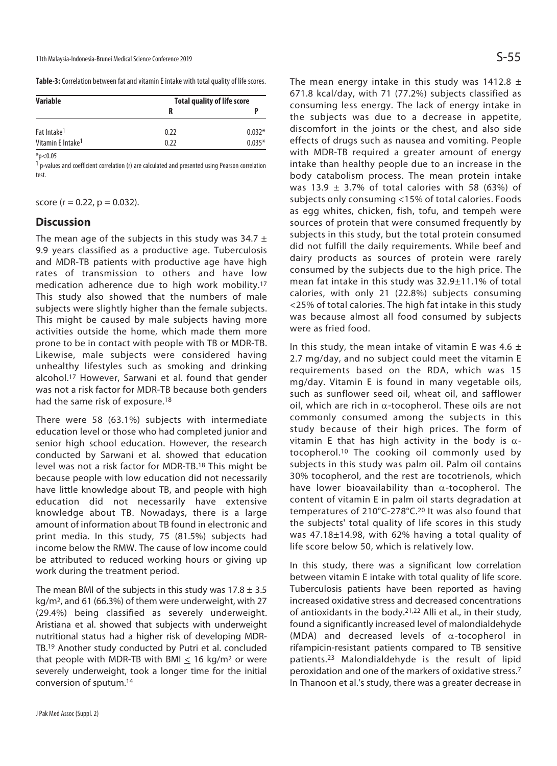**Table-3:** Correlation between fat and vitamin E intake with total quality of life scores.

| <b>Variable</b>               | <b>Total quality of life score</b> |          |  |
|-------------------------------|------------------------------------|----------|--|
|                               |                                    |          |  |
| Fat Intake <sup>1</sup>       | 0.22                               | $0.032*$ |  |
| Vitamin E Intake <sup>1</sup> | 0.22                               | $0.035*$ |  |

 $*p<0.05$ 

<sup>1</sup> p-values and coefficient correlation (r) are calculated and presented using Pearson correlation test.

score ( $r = 0.22$ ,  $p = 0.032$ ).

#### **Discussion**

The mean age of the subjects in this study was 34.7  $\pm$ 9.9 years classified as a productive age. Tuberculosis and MDR-TB patients with productive age have high rates of transmission to others and have low medication adherence due to high work mobility.17 This study also showed that the numbers of male subjects were slightly higher than the female subjects. This might be caused by male subjects having more activities outside the home, which made them more prone to be in contact with people with TB or MDR-TB. Likewise, male subjects were considered having unhealthy lifestyles such as smoking and drinking alcohol.17 However, Sarwani et al. found that gender was not a risk factor for MDR-TB because both genders had the same risk of exposure.18

There were 58 (63.1%) subjects with intermediate education level or those who had completed junior and senior high school education. However, the research conducted by Sarwani et al. showed that education level was not a risk factor for MDR-TB.18 This might be because people with low education did not necessarily have little knowledge about TB, and people with high education did not necessarily have extensive knowledge about TB. Nowadays, there is a large amount of information about TB found in electronic and print media. In this study, 75 (81.5%) subjects had income below the RMW. The cause of low income could be attributed to reduced working hours or giving up work during the treatment period.

The mean BMI of the subjects in this study was  $17.8 \pm 3.5$ kg/m2, and 61 (66.3%) of them were underweight, with 27 (29.4%) being classified as severely underweight. Aristiana et al. showed that subjects with underweight nutritional status had a higher risk of developing MDR-TB.19 Another study conducted by Putri et al. concluded that people with MDR-TB with BMI  $\leq$  16 kg/m<sup>2</sup> or were severely underweight, took a longer time for the initial conversion of sputum.14

The mean energy intake in this study was 1412.8  $\pm$ 671.8 kcal/day, with 71 (77.2%) subjects classified as consuming less energy. The lack of energy intake in the subjects was due to a decrease in appetite, discomfort in the joints or the chest, and also side effects of drugs such as nausea and vomiting. People with MDR-TB required a greater amount of energy intake than healthy people due to an increase in the body catabolism process. The mean protein intake was 13.9  $\pm$  3.7% of total calories with 58 (63%) of subjects only consuming <15% of total calories. Foods as egg whites, chicken, fish, tofu, and tempeh were sources of protein that were consumed frequently by subjects in this study, but the total protein consumed did not fulfill the daily requirements. While beef and dairy products as sources of protein were rarely consumed by the subjects due to the high price. The mean fat intake in this study was 32.9±11.1% of total calories, with only 21 (22.8%) subjects consuming <25% of total calories. The high fat intake in this study was because almost all food consumed by subjects were as fried food.

In this study, the mean intake of vitamin E was 4.6  $\pm$ 2.7 mg/day, and no subject could meet the vitamin E requirements based on the RDA, which was 15 mg/day. Vitamin E is found in many vegetable oils, such as sunflower seed oil, wheat oil, and safflower oil, which are rich in  $\alpha$ -tocopherol. These oils are not commonly consumed among the subjects in this study because of their high prices. The form of vitamin E that has high activity in the body is  $α$ tocopherol.10 The cooking oil commonly used by subjects in this study was palm oil. Palm oil contains 30% tocopherol, and the rest are tocotrienols, which have lower bioavailability than  $\alpha$ -tocopherol. The content of vitamin E in palm oil starts degradation at temperatures of 210°C-278°C.20 It was also found that the subjects' total quality of life scores in this study was 47.18±14.98, with 62% having a total quality of life score below 50, which is relatively low.

In this study, there was a significant low correlation between vitamin E intake with total quality of life score. Tuberculosis patients have been reported as having increased oxidative stress and decreased concentrations of antioxidants in the body.21,22 Alli et al., in their study, found a significantly increased level of malondialdehyde (MDA) and decreased levels of  $\alpha$ -tocopherol in rifampicin-resistant patients compared to TB sensitive patients.23 Malondialdehyde is the result of lipid peroxidation and one of the markers of oxidative stress.7 In Thanoon et al.'s study, there was a greater decrease in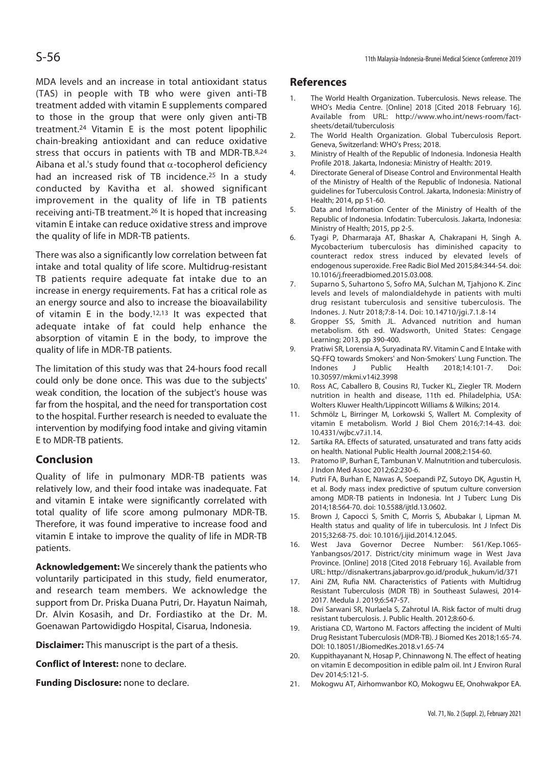MDA levels and an increase in total antioxidant status (TAS) in people with TB who were given anti-TB treatment added with vitamin E supplements compared to those in the group that were only given anti-TB treatment.24 Vitamin E is the most potent lipophilic chain-breaking antioxidant and can reduce oxidative stress that occurs in patients with TB and MDR-TB.8,24 Aibana et al.'s study found that  $\alpha$ -tocopherol deficiency had an increased risk of TB incidence.25 In a study conducted by Kavitha et al. showed significant improvement in the quality of life in TB patients receiving anti-TB treatment.26 It is hoped that increasing vitamin E intake can reduce oxidative stress and improve the quality of life in MDR-TB patients.

There was also a significantly low correlation between fat intake and total quality of life score. Multidrug-resistant TB patients require adequate fat intake due to an increase in energy requirements. Fat has a critical role as an energy source and also to increase the bioavailability of vitamin E in the body.<sup>12,13</sup> It was expected that adequate intake of fat could help enhance the absorption of vitamin E in the body, to improve the quality of life in MDR-TB patients.

The limitation of this study was that 24-hours food recall could only be done once. This was due to the subjects' weak condition, the location of the subject's house was far from the hospital, and the need for transportation cost to the hospital. Further research is needed to evaluate the intervention by modifying food intake and giving vitamin E to MDR-TB patients.

# **Conclusion**

Quality of life in pulmonary MDR-TB patients was relatively low, and their food intake was inadequate. Fat and vitamin E intake were significantly correlated with total quality of life score among pulmonary MDR-TB. Therefore, it was found imperative to increase food and vitamin E intake to improve the quality of life in MDR-TB patients.

**Acknowledgement:** We sincerely thank the patients who voluntarily participated in this study, field enumerator, and research team members. We acknowledge the support from Dr. Priska Duana Putri, Dr. Hayatun Naimah, Dr. Alvin Kosasih, and Dr. Fordiastiko at the Dr. M. Goenawan Partowidigdo Hospital, Cisarua, Indonesia.

**Disclaimer:** This manuscript is the part of a thesis.

**Conflict of Interest:** none to declare.

**Funding Disclosure:** none to declare.

# **References**

- 1. The World Health Organization. Tuberculosis. News release. The WHO's Media Centre. [Online] 2018 [Cited 2018 February 16]. Available from URL: http://www.who.int/news-room/factsheets/detail/tuberculosis
- 2. The World Health Organization. Global Tuberculosis Report. Geneva, Switzerland: WHO's Press; 2018.
- 3. Ministry of Health of the Republic of Indonesia. Indonesia Health Profile 2018. Jakarta, Indonesia: Ministry of Health: 2019.
- 4. Directorate General of Disease Control and Environmental Health of the Ministry of Health of the Republic of Indonesia. National guidelines for Tuberculosis Control. Jakarta, Indonesia: Ministry of Health; 2014, pp 51-60.
- 5. Data and Information Center of the Ministry of Health of the Republic of Indonesia. Infodatin: Tuberculosis. Jakarta, Indonesia: Ministry of Health; 2015, pp 2-5.
- 6. Tyagi P, Dharmaraja AT, Bhaskar A, Chakrapani H, Singh A. Mycobacterium tuberculosis has diminished capacity to counteract redox stress induced by elevated levels of endogenous superoxide. Free Radic Biol Med 2015;84:344-54. doi: 10.1016/j.freeradbiomed.2015.03.008.
- 7. Suparno S, Suhartono S, Sofro MA, Sulchan M, Tjahjono K. Zinc levels and levels of malondialdehyde in patients with multi drug resistant tuberculosis and sensitive tuberculosis. The Indones. J. Nutr 2018;7:8-14. Doi: 10.14710/jgi.7.1.8-14
- 8. Gropper SS, Smith JL. Advanced nutrition and human metabolism. 6th ed. Wadsworth, United States: Cengage Learning; 2013, pp 390-400.
- 9. Pratiwi SR, Lorensia A, Suryadinata RV. Vitamin C and E Intake with SQ-FFQ towards Smokers' and Non-Smokers' Lung Function. The Indones J Public Health 2018;14:101-7. Doi: 10.30597/mkmi.v14i2.3998
- 10. Ross AC, Caballero B, Cousins RJ, Tucker KL, Ziegler TR. Modern nutrition in health and disease, 11th ed. Philadelphia, USA: Wolters Kluwer Health/Lippincott Williams & Wilkins; 2014.
- 11. Schmölz L, Birringer M, Lorkowski S, Wallert M. Complexity of vitamin E metabolism. World J Biol Chem 2016;7:14-43. doi: 10.4331/wjbc.v7.i1.14.
- 12. Sartika RA. Effects of saturated, unsaturated and trans fatty acids on health. National Public Health Journal 2008;2:154-60.
- 13. Pratomo IP, Burhan E, Tambunan V. Malnutrition and tuberculosis. J Indon Med Assoc 2012;62:230-6.
- 14. Putri FA, Burhan E, Nawas A, Soepandi PZ, Sutoyo DK, Agustin H, et al. Body mass index predictive of sputum culture conversion among MDR-TB patients in Indonesia. Int J Tuberc Lung Dis 2014;18:564-70. doi: 10.5588/ijtld.13.0602.
- 15. Brown J, Capocci S, Smith C, Morris S, Abubakar I, Lipman M. Health status and quality of life in tuberculosis. Int J Infect Dis 2015;32:68-75. doi: 10.1016/j.ijid.2014.12.045.
- 16. West Java Governor Decree Number: 561/Kep.1065- Yanbangsos/2017. District/city minimum wage in West Java Province. [Online] 2018 [Cited 2018 February 16]. Available from URL: http://disnakertrans.jabarprov.go.id/produk\_hukum/id/371
- 17. Aini ZM, Rufia NM. Characteristics of Patients with Multidrug Resistant Tuberculosis (MDR TB) in Southeast Sulawesi, 2014- 2017. Medula J. 2019;6:547-57.
- 18. Dwi Sarwani SR, Nurlaela S, Zahrotul IA. Risk factor of multi drug resistant tuberculosis. J. Public Health. 2012;8:60-6.
- 19. Aristiana CD, Wartono M. Factors affecting the incident of Multi Drug Resistant Tuberculosis (MDR-TB). J Biomed Kes 2018;1:65-74. DOI: 10.18051/JBiomedKes.2018.v1.65-74
- 20. Kuppithayanant N, Hosap P, Chinnawong N. The effect of heating on vitamin E decomposition in edible palm oil. Int J Environ Rural Dev 2014;5:121-5.
- 21. Mokogwu AT, Airhomwanbor KO, Mokogwu EE, Onohwakpor EA.